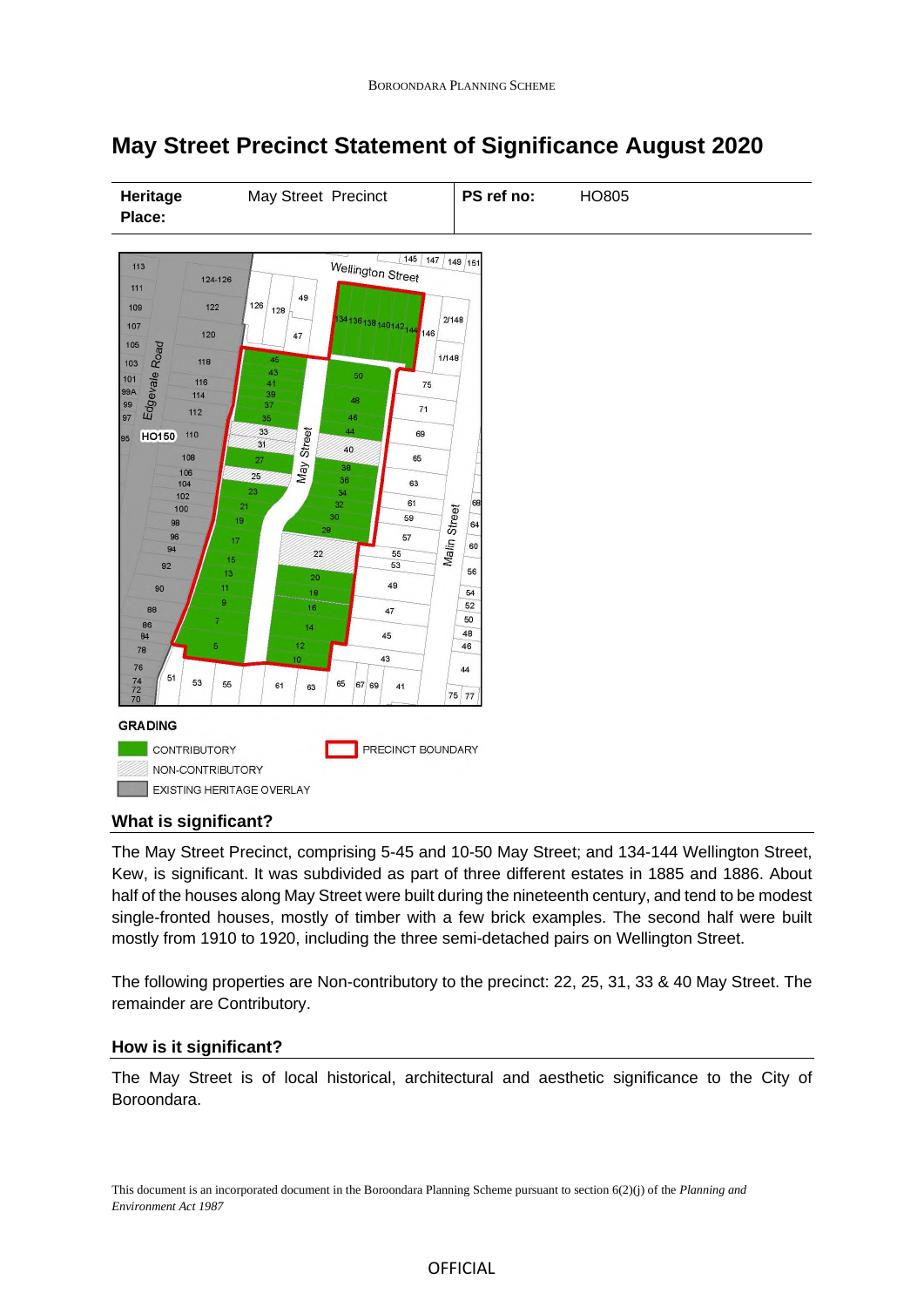# **May Street Precinct Statement of Significance August 2020**



## **What is significant?**

The May Street Precinct, comprising 5-45 and 10-50 May Street; and 134-144 Wellington Street, Kew, is significant. It was subdivided as part of three different estates in 1885 and 1886. About half of the houses along May Street were built during the nineteenth century, and tend to be modest single-fronted houses, mostly of timber with a few brick examples. The second half were built mostly from 1910 to 1920, including the three semi-detached pairs on Wellington Street.

The following properties are Non-contributory to the precinct: 22, 25, 31, 33 & 40 May Street. The remainder are Contributory.

## **How is it significant?**

The May Street is of local historical, architectural and aesthetic significance to the City of Boroondara.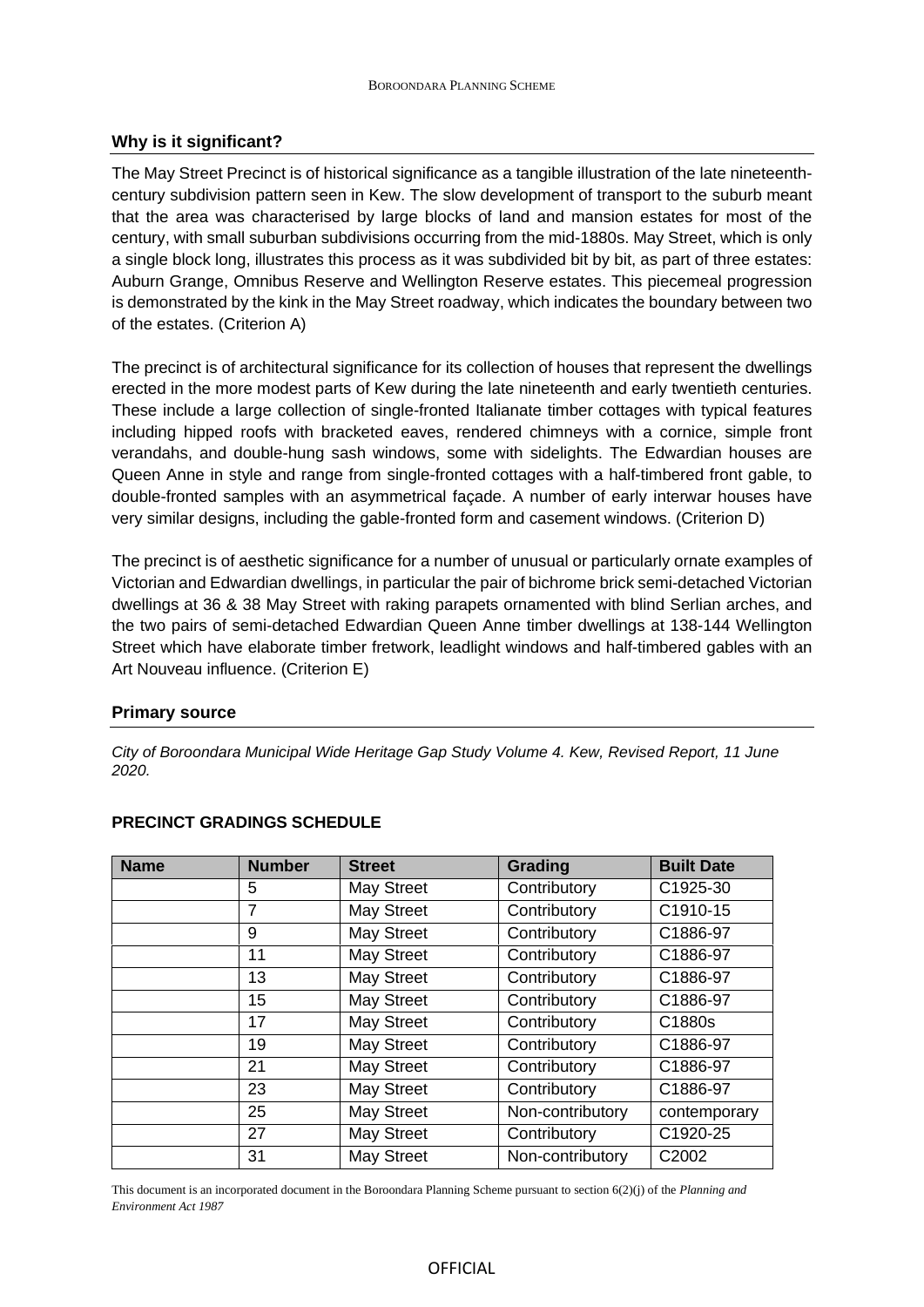# **Why is it significant?**

The May Street Precinct is of historical significance as a tangible illustration of the late nineteenthcentury subdivision pattern seen in Kew. The slow development of transport to the suburb meant that the area was characterised by large blocks of land and mansion estates for most of the century, with small suburban subdivisions occurring from the mid-1880s. May Street, which is only a single block long, illustrates this process as it was subdivided bit by bit, as part of three estates: Auburn Grange, Omnibus Reserve and Wellington Reserve estates. This piecemeal progression is demonstrated by the kink in the May Street roadway, which indicates the boundary between two of the estates. (Criterion A)

The precinct is of architectural significance for its collection of houses that represent the dwellings erected in the more modest parts of Kew during the late nineteenth and early twentieth centuries. These include a large collection of single-fronted Italianate timber cottages with typical features including hipped roofs with bracketed eaves, rendered chimneys with a cornice, simple front verandahs, and double-hung sash windows, some with sidelights. The Edwardian houses are Queen Anne in style and range from single-fronted cottages with a half-timbered front gable, to double-fronted samples with an asymmetrical façade. A number of early interwar houses have very similar designs, including the gable-fronted form and casement windows. (Criterion D)

The precinct is of aesthetic significance for a number of unusual or particularly ornate examples of Victorian and Edwardian dwellings, in particular the pair of bichrome brick semi-detached Victorian dwellings at 36 & 38 May Street with raking parapets ornamented with blind Serlian arches, and the two pairs of semi-detached Edwardian Queen Anne timber dwellings at 138-144 Wellington Street which have elaborate timber fretwork, leadlight windows and half-timbered gables with an Art Nouveau influence. (Criterion E)

## **Primary source**

*City of Boroondara Municipal Wide Heritage Gap Study Volume 4. Kew, Revised Report, 11 June 2020.*

| <b>Name</b> | <b>Number</b> | <b>Street</b> | Grading          | <b>Built Date</b> |
|-------------|---------------|---------------|------------------|-------------------|
|             | 5             | May Street    | Contributory     | C1925-30          |
|             | 7             | May Street    | Contributory     | C1910-15          |
|             | 9             | May Street    | Contributory     | C1886-97          |
|             | 11            | May Street    | Contributory     | C1886-97          |
|             | 13            | May Street    | Contributory     | C1886-97          |
|             | 15            | May Street    | Contributory     | C1886-97          |
|             | 17            | May Street    | Contributory     | C1880s            |
|             | 19            | May Street    | Contributory     | C1886-97          |
|             | 21            | May Street    | Contributory     | C1886-97          |
|             | 23            | May Street    | Contributory     | C1886-97          |
|             | 25            | May Street    | Non-contributory | contemporary      |
|             | 27            | May Street    | Contributory     | C1920-25          |
|             | 31            | May Street    | Non-contributory | C2002             |

## **PRECINCT GRADINGS SCHEDULE**

This document is an incorporated document in the Boroondara Planning Scheme pursuant to section 6(2)(j) of the *Planning and Environment Act 1987*

## OFFICIAL